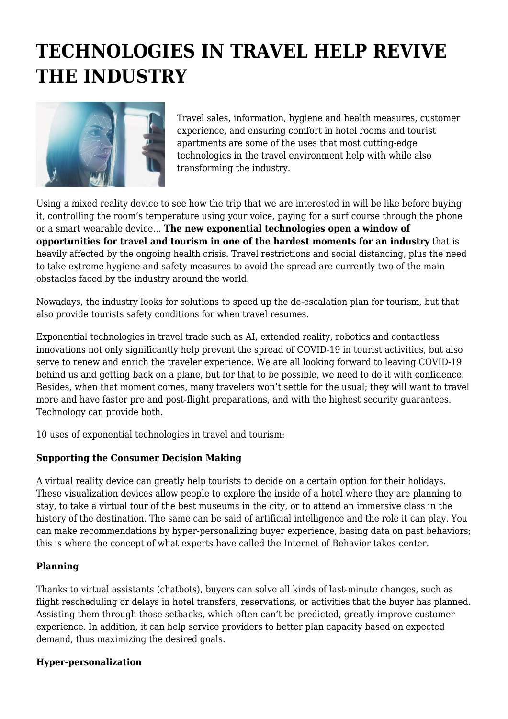# **TECHNOLOGIES IN TRAVEL HELP REVIVE THE INDUSTRY**



Travel sales, information, hygiene and health measures, customer experience, and ensuring comfort in hotel rooms and tourist apartments are some of the uses that most cutting-edge technologies in the travel environment help with while also transforming the industry.

Using a mixed reality device to see how the trip that we are interested in will be like before buying it, controlling the room's temperature using your voice, paying for a surf course through the phone or a smart wearable device… **The new exponential technologies open a window of opportunities for travel and tourism in one of the hardest moments for an industry** that is heavily affected by the ongoing health crisis. Travel restrictions and social distancing, plus the need to take extreme hygiene and safety measures to avoid the spread are currently two of the main obstacles faced by the industry around the world.

Nowadays, the industry looks for solutions to speed up the de-escalation plan for tourism, but that also provide tourists safety conditions for when travel resumes.

Exponential technologies in travel trade such as AI, extended reality, robotics and contactless innovations not only significantly help prevent the spread of COVID-19 in tourist activities, but also serve to renew and enrich the traveler experience. We are all looking forward to leaving COVID-19 behind us and getting back on a plane, but for that to be possible, we need to do it with confidence. Besides, when that moment comes, many travelers won't settle for the usual; they will want to travel more and have faster pre and post-flight preparations, and with the highest security guarantees. Technology can provide both.

10 uses of exponential technologies in travel and tourism:

## **Supporting the Consumer Decision Making**

A virtual reality device can greatly help tourists to decide on a certain option for their holidays. These visualization devices allow people to explore the inside of a hotel where they are planning to stay, to take a virtual tour of the best museums in the city, or to attend an immersive class in the history of the destination. The same can be said of artificial intelligence and the role it can play. You can make recommendations by hyper-personalizing buyer experience, basing data on past behaviors; this is where the concept of what experts have called the Internet of Behavior takes center.

## **Planning**

Thanks to virtual assistants (chatbots), buyers can solve all kinds of last-minute changes, such as flight rescheduling or delays in hotel transfers, reservations, or activities that the buyer has planned. Assisting them through those setbacks, which often can't be predicted, greatly improve customer experience. In addition, it can help service providers to better plan capacity based on expected demand, thus maximizing the desired goals.

#### **Hyper-personalization**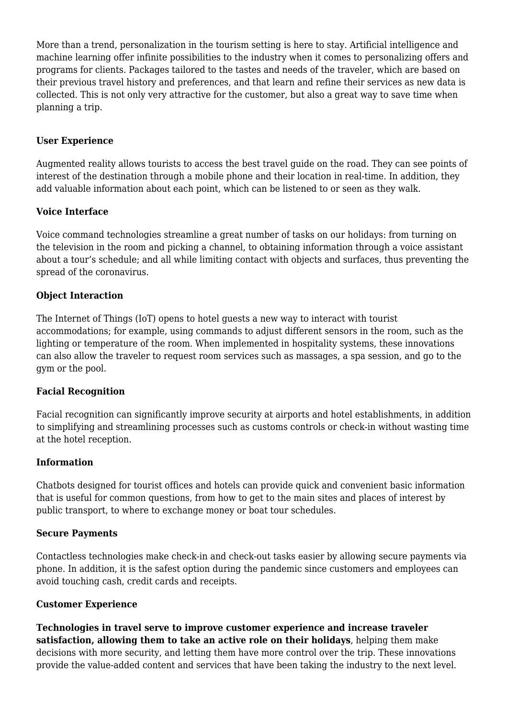More than a trend, personalization in the tourism setting is here to stay. Artificial intelligence and machine learning offer infinite possibilities to the industry when it comes to personalizing offers and programs for clients. Packages tailored to the tastes and needs of the traveler, which are based on their previous travel history and preferences, and that learn and refine their services as new data is collected. This is not only very attractive for the customer, but also a great way to save time when planning a trip.

## **User Experience**

Augmented reality allows tourists to access the best travel guide on the road. They can see points of interest of the destination through a mobile phone and their location in real-time. In addition, they add valuable information about each point, which can be listened to or seen as they walk.

### **Voice Interface**

Voice command technologies streamline a great number of tasks on our holidays: from turning on the television in the room and picking a channel, to obtaining information through a voice assistant about a tour's schedule; and all while limiting contact with objects and surfaces, thus preventing the spread of the coronavirus.

#### **Object Interaction**

The Internet of Things (IoT) opens to hotel guests a new way to interact with tourist accommodations; for example, using commands to adjust different sensors in the room, such as the lighting or temperature of the room. When implemented in hospitality systems, these innovations can also allow the traveler to request room services such as massages, a spa session, and go to the gym or the pool.

#### **Facial Recognition**

Facial recognition can significantly improve security at airports and hotel establishments, in addition to simplifying and streamlining processes such as customs controls or check-in without wasting time at the hotel reception.

#### **Information**

Chatbots designed for tourist offices and hotels can provide quick and convenient basic information that is useful for common questions, from how to get to the main sites and places of interest by public transport, to where to exchange money or boat tour schedules.

#### **Secure Payments**

Contactless technologies make check-in and check-out tasks easier by allowing secure payments via phone. In addition, it is the safest option during the pandemic since customers and employees can avoid touching cash, credit cards and receipts.

#### **Customer Experience**

**Technologies in travel serve to improve customer experience and increase traveler satisfaction, allowing them to take an active role on their holidays**, helping them make decisions with more security, and letting them have more control over the trip. These innovations provide the value-added content and services that have been taking the industry to the next level.